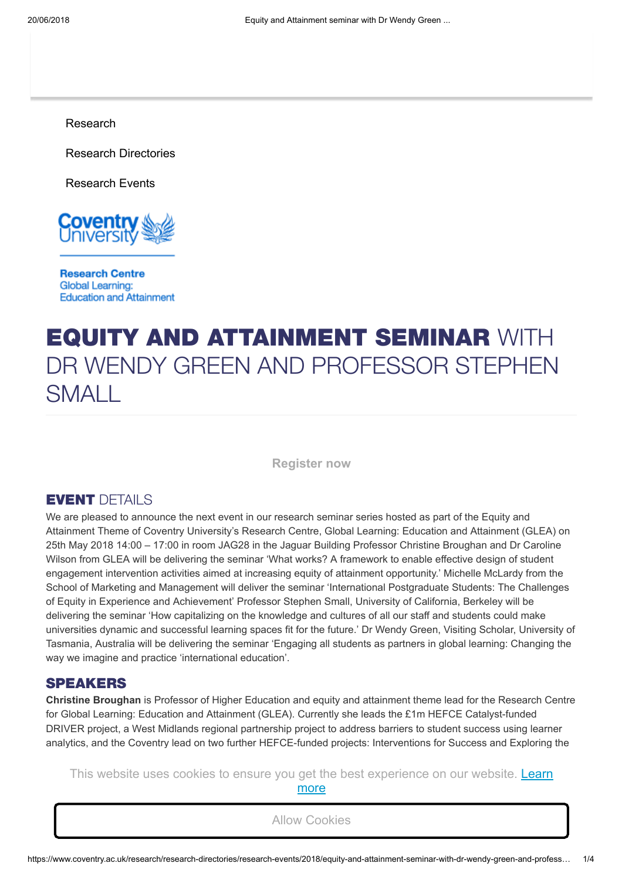[Research](https://www.coventry.ac.uk/research/)

[Research Directories](https://www.coventry.ac.uk/research/research-directories/)

[Research Events](https://www.coventry.ac.uk/research/research-directories/research-events/)



**Research Centre Global Learning: Education and Attainment** 

# EQUITY AND ATTAINMENT SEMINAR WITH DR WENDY GREEN AND PROFESSOR STEPHEN SMALL

**[Register now](https://coventry.onlinesurveys.ac.uk/equity-and-attainment-seminar-with-wendy-green)**

### EVENT DETAILS

We are pleased to announce the next event in our research seminar series hosted as part of the Equity and Attainment Theme of Coventry University's Research Centre, Global Learning: Education and Attainment (GLEA) on 25th May 2018 14:00 – 17:00 in room JAG28 in the Jaguar Building Professor Christine Broughan and Dr Caroline Wilson from GLEA will be delivering the seminar 'What works? A framework to enable effective design of student engagement intervention activities aimed at increasing equity of attainment opportunity.' Michelle McLardy from the School of Marketing and Management will deliver the seminar 'International Postgraduate Students: The Challenges of Equity in Experience and Achievement' Professor Stephen Small, University of California, Berkeley will be delivering the seminar 'How capitalizing on the knowledge and cultures of all our staff and students could make universities dynamic and successful learning spaces fit for the future.' Dr Wendy Green, Visiting Scholar, University of Tasmania, Australia will be delivering the seminar 'Engaging all students as partners in global learning: Changing the way we imagine and practice 'international education'.

#### SPEAKERS

**Christine Broughan** is Professor of Higher Education and equity and attainment theme lead for the Research Centre for Global Learning: Education and Attainment (GLEA). Currently she leads the £1m HEFCE Catalyst-funded DRIVER project, a West Midlands regional partnership project to address barriers to student success using learner analytics, and the Coventry lead on two further HEFCE-funded projects: Interventions for Success and Exploring the

This website uses cookies to ensure you [get the best experience on our website. Learn](https://www.coventry.ac.uk/legal-documents/cookie-policy/) **Caroline Wilson is a researcher investigating equity and attainment in Higher Education. Reflecting Coventry, Reflecting Coventry, and attaining Coventry, and attaining Coventry, Reflecting Coventry, Reflecting Coventry,** more

citizenship. She is the DRIVER project, a West Midlands partnership in the DRIVER partnership in the DRIVER partnership in the DRIVER partnership in the Midlands partnership in the DRIVER partnership in the DRIVER partners

University's global profile this involves researching related issues such as international education and global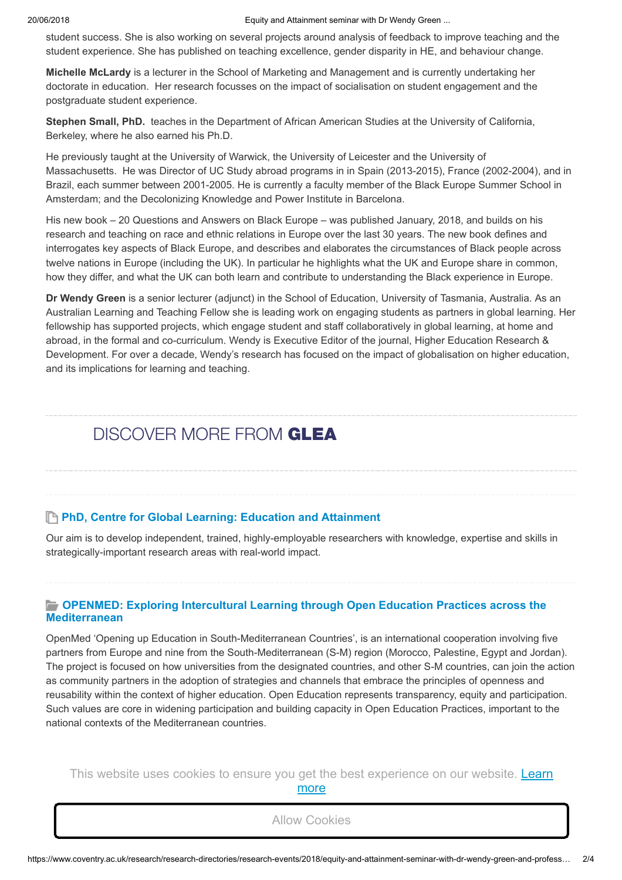20/06/2018 Equity and Attainment seminar with Dr Wendy Green ...

student success. She is also working on several projects around analysis of feedback to improve teaching and the student experience. She has published on teaching excellence, gender disparity in HE, and behaviour change.

**Michelle McLardy** is a lecturer in the School of Marketing and Management and is currently undertaking her doctorate in education. Her research focusses on the impact of socialisation on student engagement and the postgraduate student experience.

**Stephen Small, PhD.** teaches in the Department of African American Studies at the University of California, Berkeley, where he also earned his Ph.D.

He previously taught at the University of Warwick, the University of Leicester and the University of Massachusetts. He was Director of UC Study abroad programs in in Spain (2013-2015), France (2002-2004), and in Brazil, each summer between 2001-2005. He is currently a faculty member of the Black Europe Summer School in Amsterdam; and the Decolonizing Knowledge and Power Institute in Barcelona.

His new book – 20 Questions and Answers on Black Europe – was published January, 2018, and builds on his research and teaching on race and ethnic relations in Europe over the last 30 years. The new book defines and interrogates key aspects of Black Europe, and describes and elaborates the circumstances of Black people across twelve nations in Europe (including the UK). In particular he highlights what the UK and Europe share in common, how they differ, and what the UK can both learn and contribute to understanding the Black experience in Europe.

**Dr Wendy Green** is a senior lecturer (adjunct) in the School of Education, University of Tasmania, Australia. As an Australian Learning and Teaching Fellow she is leading work on engaging students as partners in global learning. Her fellowship has supported projects, which engage student and staff collaboratively in global learning, at home and abroad, in the formal and co-curriculum. Wendy is Executive Editor of the journal, Higher Education Research & Development. For over a decade, Wendy's research has focused on the impact of globalisation on higher education, and its implications for learning and teaching.

# DISCOVER MORE FROM GLEA

#### **PhD, Centre for Global Learning: Education and [Attainment](https://www.coventry.ac.uk/research/research-students/research-studentships/phd-centre-for-global-learning-education-and-attainment/)**

home HEI. Integrate Jordanian HEI in a global network for "Virtual Mobility".

Our aim is to develop independent, trained, highly-employable researchers with knowledge, expertise and skills in strategically-important research areas with real-world impact.

#### **OPENMED: Exploring Intercultural Learning through Open Education Practices across the [Mediterranean](https://www.coventry.ac.uk/research/research-directories/current-projects/2018/openmed-exploring-intercultural-learning-through-open-education-practices-across-the-mediterranean/)**

OpenMed 'Opening up Education in South-Mediterranean Countries', is an international cooperation involving five partners from Europe and nine from the South-Mediterranean (S-M) region (Morocco, Palestine, Egypt and Jordan). The project is focused on how universities from the designated countries, and other S-M countries, can join the action as community partners in the adoption of strategies and channels that embrace the principles of openness and reusability within the context of higher education. Open Education represents transparency, equity and participation. Such values are core in widening participation and building capacity in Open Education Practices, important to the national contexts of the Mediterranean countries.

[This website uses cookies to ensure you](https://www.coventry.ac.uk/research/research-directories/current-projects/2018/jovital-jordan-opportunity-for-virtual-innovative-teaching-and-learning-/) [get the best experience on our website. Learn](https://www.coventry.ac.uk/legal-documents/cookie-policy/) Enable academic staff to purposefully use social technologies for teaching. Design and implement problem- ‐based more

learning courses and cases. Transfer academic best practices from HEI in programme countries. Help Jordanian HEI to develop effective internationalisation strategies. Provide Jordanian students with international experience at their Allow Cookies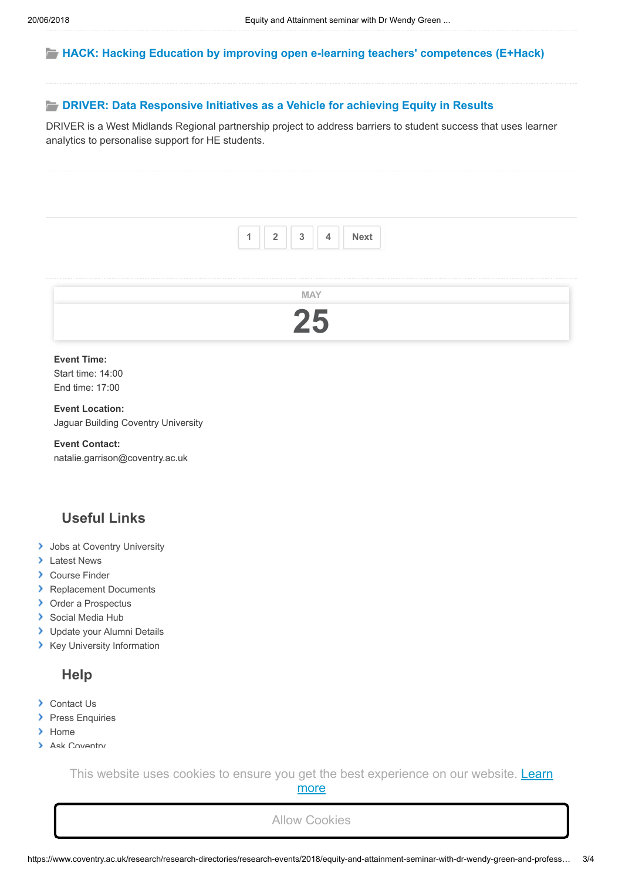#### **HACK: Hacking Education by improving open e-learning teachers' [competences](https://www.coventry.ac.uk/research/research-directories/current-projects/2018/hack-hacking-education-by-improving-open-e-learning-teachers-competences-ehack/) (E+Hack)**

#### **DRIVER: Data [Responsive](https://www.coventry.ac.uk/research/research-directories/current-projects/2018/driver-data-responsive-initiatives-as-a-vehicle-for-achieving-equity-in-results/) Initiatives as a Vehicle for achieving Equity in Results**

DRIVER is a West Midlands Regional partnership project to address barriers to student success that uses learner analytics to personalise support for HE students.



#### **Event Time:** Start time: 14:00

End time: 17:00

**Event Location:** Jaguar Building Coventry University

#### **Event Contact:**

natalie.garrison@coventry.ac.uk

# **Useful Links**

- **[Jobs at Coventry University](https://www.coventry.ac.uk/the-university/working-at-coventry-university/)**
- > [Latest News](https://www.coventry.ac.uk/news/)
- **[Course Finder](https://www.coventry.ac.uk/study-at-coventry/course-search/)**
- **[Replacement Documents](https://www.coventry.ac.uk/the-university/key-information/registry/qualifications-certificates-and-transcripts/)**
- > [Order a Prospectus](https://www.coventry.ac.uk/order-a-prospectus/)
- [Social Media Hub](https://www.coventry.ac.uk/life-on-campus/student-life/social-media-hub/)
- > [Update your Alumni Details](https://www.coventry.ac.uk/the-university/alumni/)
- **X** [Key University Information](https://www.coventry.ac.uk/the-university/key-information/)

## **Help**

- **▶ [Contact Us](https://www.coventry.ac.uk/shared-content/utility-links/contact-us/)**
- **[Press Enquiries](https://www.coventry.ac.uk/research/research-directories/researchers/)**

[The Student Contract](https://www.coventry.ac.uk/legal-documents/the-student-contract/)

 $\Box$ 

- $\blacktriangleright$  [Home](https://www.coventry.ac.uk/)
- **[Ask Coventry](https://www.coventry.ac.uk/ask-coventry/)**

This website uses cookies to ensure you [get the best experience on our website. Learn](https://www.coventry.ac.uk/legal-documents/cookie-policy/) more

Allow Cookies